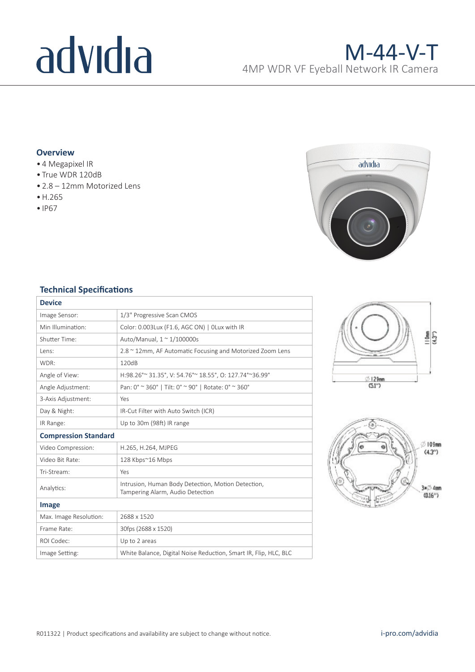# advidia

## **Overview**

- 4 Megapixel IR
- True WDR 120dB
- 2.8 12mm Motorized Lens
- •H.265
- IP67



## **Technical Specifications**

| <b>Device</b>               |                                                                                        |  |  |
|-----------------------------|----------------------------------------------------------------------------------------|--|--|
| Image Sensor:               | 1/3" Progressive Scan CMOS                                                             |  |  |
| Min Illumination:           | Color: 0.003Lux (F1.6, AGC ON)   OLux with IR                                          |  |  |
| Shutter Time:               | Auto/Manual, $1 \approx 1/100000$ s                                                    |  |  |
| Lens:                       | 2.8 ~ 12mm, AF Automatic Focusing and Motorized Zoom Lens                              |  |  |
| WDR:                        | 120dB                                                                                  |  |  |
| Angle of View:              | H:98.26° ~ 31.35°, V: 54.76° ~ 18.55°, O: 127.74° ~ 36.99°                             |  |  |
| Angle Adjustment:           | Pan: 0° ~ 360°   Tilt: 0° ~ 90°   Rotate: 0° ~ 360°                                    |  |  |
| 3-Axis Adjustment:          | Yes                                                                                    |  |  |
| Day & Night:                | IR-Cut Filter with Auto Switch (ICR)                                                   |  |  |
| IR Range:                   | Up to 30m (98ft) IR range                                                              |  |  |
| <b>Compression Standard</b> |                                                                                        |  |  |
|                             | H.265, H.264, MJPEG                                                                    |  |  |
| Video Compression:          |                                                                                        |  |  |
| Video Bit Rate:             | 128 Kbps~16 Mbps                                                                       |  |  |
| Tri-Stream:                 | Yes                                                                                    |  |  |
| Analytics:                  | Intrusion, Human Body Detection, Motion Detection,<br>Tampering Alarm, Audio Detection |  |  |
| Image                       |                                                                                        |  |  |
| Max. Image Resolution:      | 2688 x 1520                                                                            |  |  |
| Frame Rate:                 | 30fps (2688 x 1520)                                                                    |  |  |
| ROI Codec:                  | Up to 2 areas                                                                          |  |  |